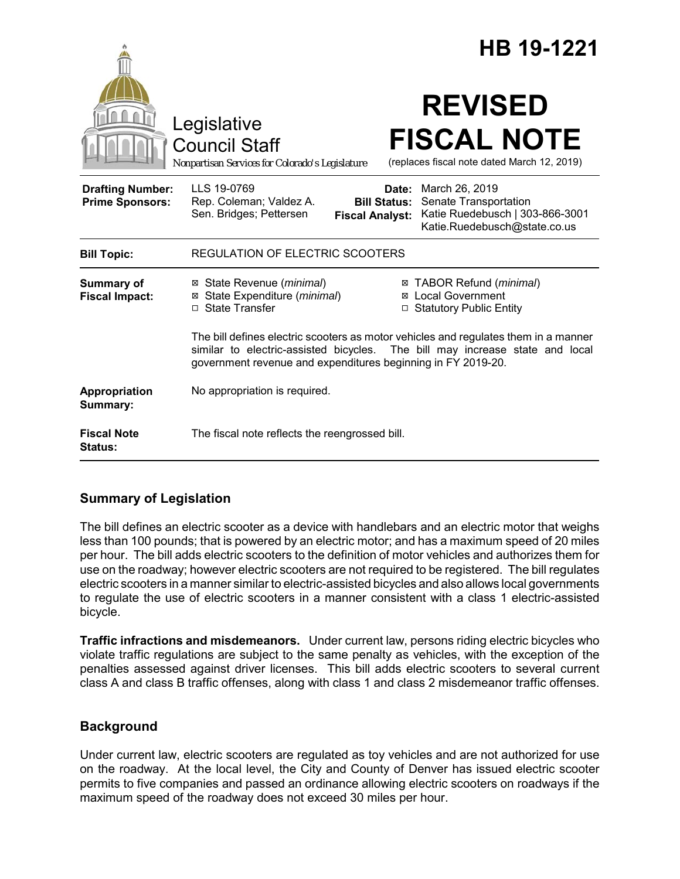|                                                   | HB 19-1221                                                                                                                                                                                                                                |
|---------------------------------------------------|-------------------------------------------------------------------------------------------------------------------------------------------------------------------------------------------------------------------------------------------|
|                                                   | <b>REVISED</b><br>Legislative<br><b>FISCAL NOTE</b><br><b>Council Staff</b><br>(replaces fiscal note dated March 12, 2019)<br>Nonpartisan Services for Colorado's Legislature                                                             |
| <b>Drafting Number:</b><br><b>Prime Sponsors:</b> | LLS 19-0769<br>March 26, 2019<br>Date:<br>Senate Transportation<br>Rep. Coleman; Valdez A.<br><b>Bill Status:</b><br>Katie Ruedebusch   303-866-3001<br>Sen. Bridges; Pettersen<br><b>Fiscal Analyst:</b><br>Katie.Ruedebusch@state.co.us |
| <b>Bill Topic:</b>                                | <b>REGULATION OF ELECTRIC SCOOTERS</b>                                                                                                                                                                                                    |
| Summary of<br><b>Fiscal Impact:</b>               | ⊠ TABOR Refund (minimal)<br>⊠ State Revenue ( <i>minimal</i> )<br>⊠ Local Government<br>State Expenditure (minimal)<br>⊠<br>□ State Transfer<br><b>Statutory Public Entity</b>                                                            |
|                                                   | The bill defines electric scooters as motor vehicles and regulates them in a manner<br>similar to electric-assisted bicycles. The bill may increase state and local<br>government revenue and expenditures beginning in FY 2019-20.       |
| Appropriation<br>Summary:                         | No appropriation is required.                                                                                                                                                                                                             |
| <b>Fiscal Note</b><br><b>Status:</b>              | The fiscal note reflects the reengrossed bill.                                                                                                                                                                                            |

# **Summary of Legislation**

The bill defines an electric scooter as a device with handlebars and an electric motor that weighs less than 100 pounds; that is powered by an electric motor; and has a maximum speed of 20 miles per hour. The bill adds electric scooters to the definition of motor vehicles and authorizes them for use on the roadway; however electric scooters are not required to be registered. The bill regulates electric scooters in a manner similar to electric-assisted bicycles and also allows local governments to regulate the use of electric scooters in a manner consistent with a class 1 electric-assisted bicycle.

**Traffic infractions and misdemeanors.** Under current law, persons riding electric bicycles who violate traffic regulations are subject to the same penalty as vehicles, with the exception of the penalties assessed against driver licenses. This bill adds electric scooters to several current class A and class B traffic offenses, along with class 1 and class 2 misdemeanor traffic offenses.

# **Background**

Under current law, electric scooters are regulated as toy vehicles and are not authorized for use on the roadway. At the local level, the City and County of Denver has issued electric scooter permits to five companies and passed an ordinance allowing electric scooters on roadways if the maximum speed of the roadway does not exceed 30 miles per hour.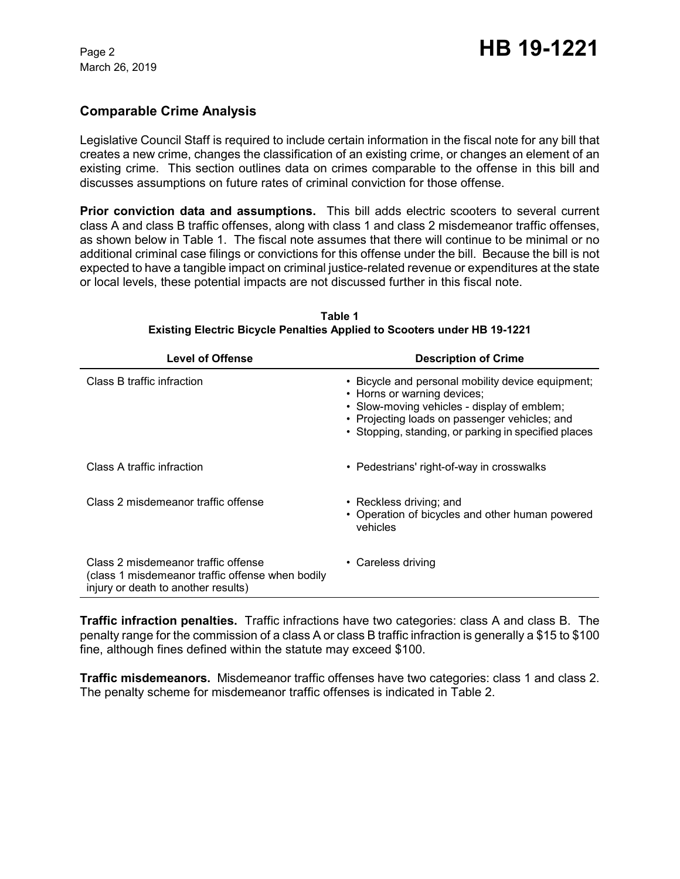March 26, 2019

### **Comparable Crime Analysis**

Legislative Council Staff is required to include certain information in the fiscal note for any bill that creates a new crime, changes the classification of an existing crime, or changes an element of an existing crime. This section outlines data on crimes comparable to the offense in this bill and discusses assumptions on future rates of criminal conviction for those offense.

**Prior conviction data and assumptions.** This bill adds electric scooters to several current class A and class B traffic offenses, along with class 1 and class 2 misdemeanor traffic offenses, as shown below in Table 1. The fiscal note assumes that there will continue to be minimal or no additional criminal case filings or convictions for this offense under the bill. Because the bill is not expected to have a tangible impact on criminal justice-related revenue or expenditures at the state or local levels, these potential impacts are not discussed further in this fiscal note.

| <b>Level of Offense</b>                                                                                                        | <b>Description of Crime</b>                                                                                                                                                                                                              |  |
|--------------------------------------------------------------------------------------------------------------------------------|------------------------------------------------------------------------------------------------------------------------------------------------------------------------------------------------------------------------------------------|--|
| Class B traffic infraction                                                                                                     | • Bicycle and personal mobility device equipment;<br>• Horns or warning devices;<br>• Slow-moving vehicles - display of emblem;<br>• Projecting loads on passenger vehicles; and<br>• Stopping, standing, or parking in specified places |  |
| Class A traffic infraction                                                                                                     | • Pedestrians' right-of-way in crosswalks                                                                                                                                                                                                |  |
| Class 2 misdemeanor traffic offense                                                                                            | • Reckless driving; and<br>• Operation of bicycles and other human powered<br>vehicles                                                                                                                                                   |  |
| Class 2 misdemeanor traffic offense<br>(class 1 misdemeanor traffic offense when bodily<br>injury or death to another results) | • Careless driving                                                                                                                                                                                                                       |  |

**Table 1 Existing Electric Bicycle Penalties Applied to Scooters under HB 19-1221**

**Traffic infraction penalties.** Traffic infractions have two categories: class A and class B. The penalty range for the commission of a class A or class B traffic infraction is generally a \$15 to \$100 fine, although fines defined within the statute may exceed \$100.

**Traffic misdemeanors.** Misdemeanor traffic offenses have two categories: class 1 and class 2. The penalty scheme for misdemeanor traffic offenses is indicated in Table 2.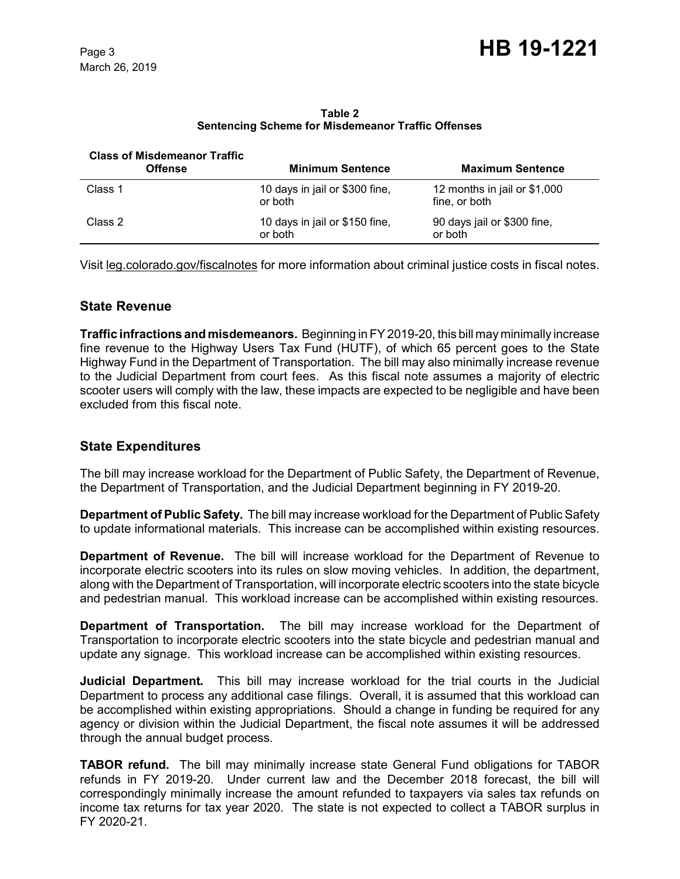**Table 2 Sentencing Scheme for Misdemeanor Traffic Offenses**

| <b>Class of Misdemeanor Traffic</b><br><b>Offense</b> | <b>Minimum Sentence</b>                   | <b>Maximum Sentence</b>                       |
|-------------------------------------------------------|-------------------------------------------|-----------------------------------------------|
| Class 1                                               | 10 days in jail or \$300 fine,<br>or both | 12 months in jail or \$1,000<br>fine, or both |
| Class 2                                               | 10 days in jail or \$150 fine,<br>or both | 90 days jail or \$300 fine,<br>or both        |

Visit leg.colorado.gov/fiscalnotes for more information about criminal justice costs in fiscal notes.

### **State Revenue**

**Traffic infractions and misdemeanors.** Beginning in FY 2019-20, this bill may minimally increase fine revenue to the Highway Users Tax Fund (HUTF), of which 65 percent goes to the State Highway Fund in the Department of Transportation. The bill may also minimally increase revenue to the Judicial Department from court fees. As this fiscal note assumes a majority of electric scooter users will comply with the law, these impacts are expected to be negligible and have been excluded from this fiscal note.

# **State Expenditures**

The bill may increase workload for the Department of Public Safety, the Department of Revenue, the Department of Transportation, and the Judicial Department beginning in FY 2019-20.

**Department of Public Safety.** The bill may increase workload for the Department of Public Safety to update informational materials. This increase can be accomplished within existing resources.

**Department of Revenue.** The bill will increase workload for the Department of Revenue to incorporate electric scooters into its rules on slow moving vehicles. In addition, the department, along with the Department of Transportation, will incorporate electric scooters into the state bicycle and pedestrian manual. This workload increase can be accomplished within existing resources.

**Department of Transportation.** The bill may increase workload for the Department of Transportation to incorporate electric scooters into the state bicycle and pedestrian manual and update any signage. This workload increase can be accomplished within existing resources.

**Judicial Department***.* This bill may increase workload for the trial courts in the Judicial Department to process any additional case filings. Overall, it is assumed that this workload can be accomplished within existing appropriations. Should a change in funding be required for any agency or division within the Judicial Department, the fiscal note assumes it will be addressed through the annual budget process.

**TABOR refund.** The bill may minimally increase state General Fund obligations for TABOR refunds in FY 2019-20. Under current law and the December 2018 forecast, the bill will correspondingly minimally increase the amount refunded to taxpayers via sales tax refunds on income tax returns for tax year 2020. The state is not expected to collect a TABOR surplus in FY 2020-21.